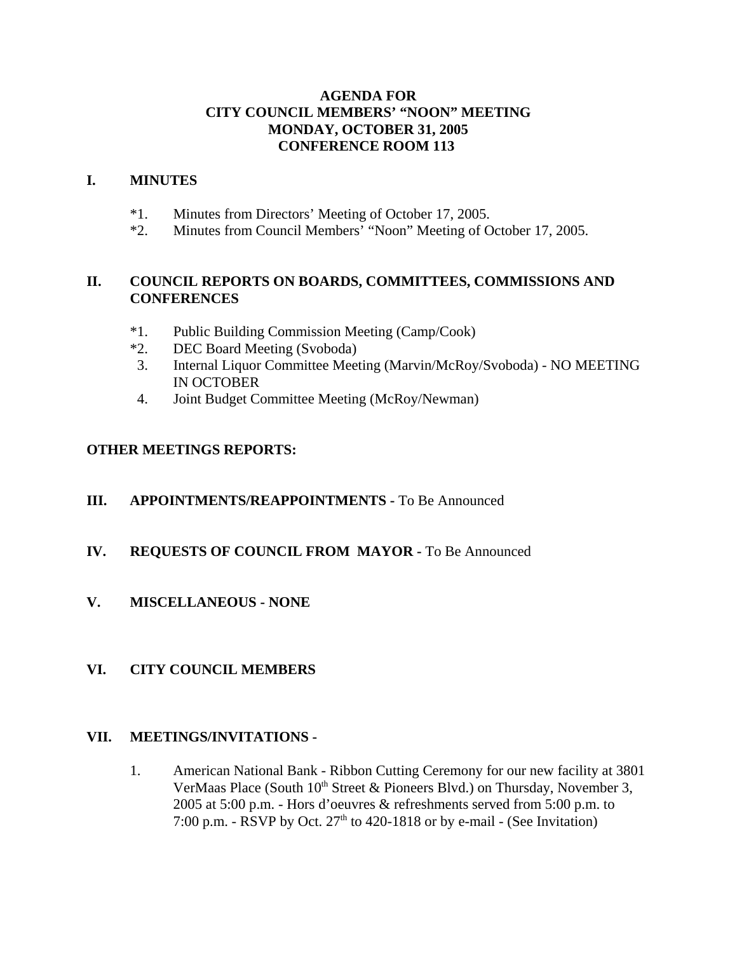## **AGENDA FOR CITY COUNCIL MEMBERS' "NOON" MEETING MONDAY, OCTOBER 31, 2005 CONFERENCE ROOM 113**

## **I. MINUTES**

- \*1. Minutes from Directors' Meeting of October 17, 2005.
- \*2. Minutes from Council Members' "Noon" Meeting of October 17, 2005.

## **II. COUNCIL REPORTS ON BOARDS, COMMITTEES, COMMISSIONS AND CONFERENCES**

- \*1. Public Building Commission Meeting (Camp/Cook)
- \*2. DEC Board Meeting (Svoboda)
- 3. Internal Liquor Committee Meeting (Marvin/McRoy/Svoboda) NO MEETING IN OCTOBER
- 4. Joint Budget Committee Meeting (McRoy/Newman)

## **OTHER MEETINGS REPORTS:**

**III.** APPOINTMENTS/REAPPOINTMENTS - To Be Announced

## **IV. REQUESTS OF COUNCIL FROM MAYOR -** To Be Announced

**V. MISCELLANEOUS - NONE** 

## **VI. CITY COUNCIL MEMBERS**

## **VII. MEETINGS/INVITATIONS -**

1. American National Bank - Ribbon Cutting Ceremony for our new facility at 3801 VerMaas Place (South  $10<sup>th</sup>$  Street & Pioneers Blvd.) on Thursday, November 3, 2005 at 5:00 p.m. - Hors d'oeuvres & refreshments served from 5:00 p.m. to 7:00 p.m. - RSVP by Oct.  $27<sup>th</sup>$  to 420-1818 or by e-mail - (See Invitation)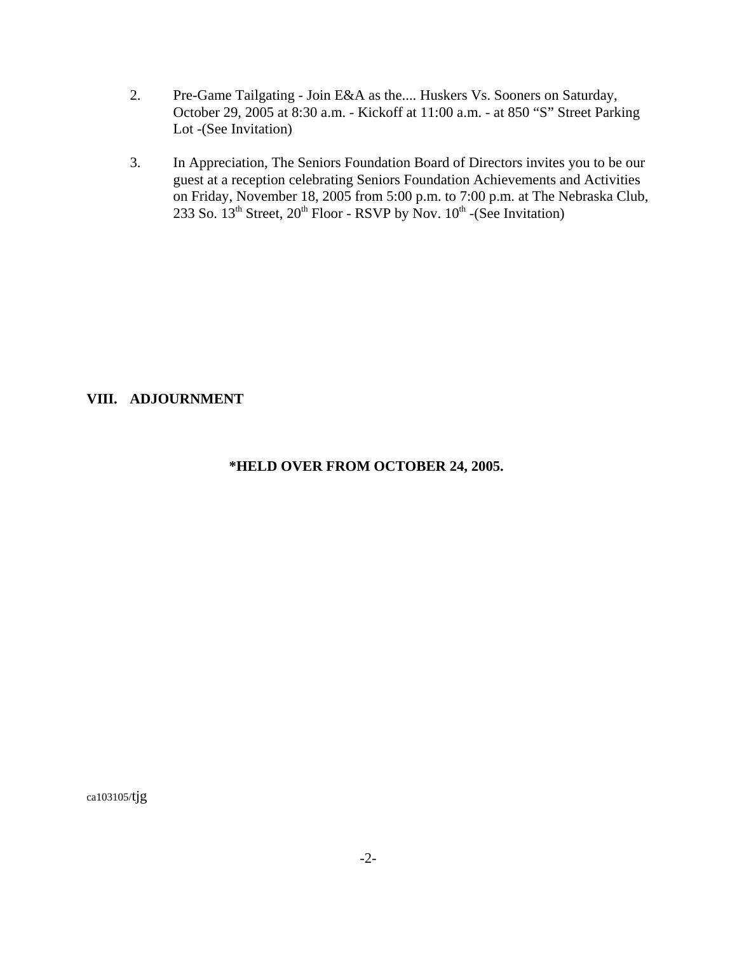- 2. Pre-Game Tailgating Join E&A as the.... Huskers Vs. Sooners on Saturday, October 29, 2005 at 8:30 a.m. - Kickoff at 11:00 a.m. - at 850 "S" Street Parking Lot -(See Invitation)
- 3. In Appreciation, The Seniors Foundation Board of Directors invites you to be our guest at a reception celebrating Seniors Foundation Achievements and Activities on Friday, November 18, 2005 from 5:00 p.m. to 7:00 p.m. at The Nebraska Club, 233 So.  $13<sup>th</sup>$  Street,  $20<sup>th</sup>$  Floor - RSVP by Nov.  $10<sup>th</sup>$  -(See Invitation)

## **VIII. ADJOURNMENT**

## **\*HELD OVER FROM OCTOBER 24, 2005.**

ca103105/tjg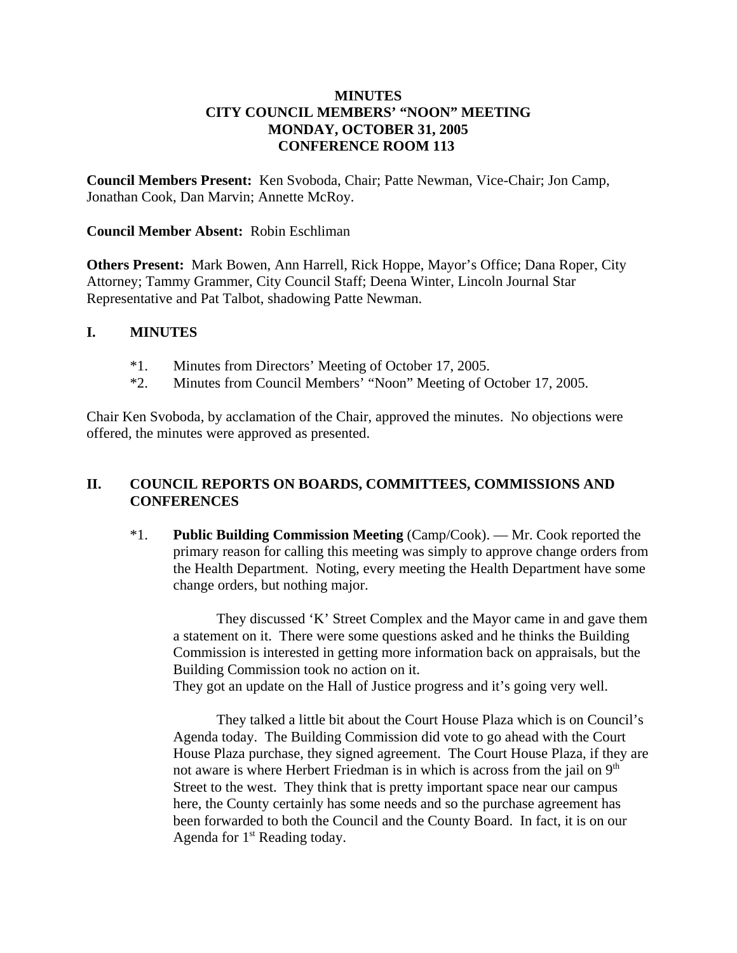## **MINUTES CITY COUNCIL MEMBERS' "NOON" MEETING MONDAY, OCTOBER 31, 2005 CONFERENCE ROOM 113**

**Council Members Present:** Ken Svoboda, Chair; Patte Newman, Vice-Chair; Jon Camp, Jonathan Cook, Dan Marvin; Annette McRoy.

### **Council Member Absent:** Robin Eschliman

**Others Present:** Mark Bowen, Ann Harrell, Rick Hoppe, Mayor's Office; Dana Roper, City Attorney; Tammy Grammer, City Council Staff; Deena Winter, Lincoln Journal Star Representative and Pat Talbot, shadowing Patte Newman.

#### **I. MINUTES**

- \*1. Minutes from Directors' Meeting of October 17, 2005.
- \*2. Minutes from Council Members' "Noon" Meeting of October 17, 2005.

Chair Ken Svoboda, by acclamation of the Chair, approved the minutes. No objections were offered, the minutes were approved as presented.

## **II. COUNCIL REPORTS ON BOARDS, COMMITTEES, COMMISSIONS AND CONFERENCES**

\*1. **Public Building Commission Meeting** (Camp/Cook). — Mr. Cook reported the primary reason for calling this meeting was simply to approve change orders from the Health Department. Noting, every meeting the Health Department have some change orders, but nothing major.

They discussed 'K' Street Complex and the Mayor came in and gave them a statement on it. There were some questions asked and he thinks the Building Commission is interested in getting more information back on appraisals, but the Building Commission took no action on it.

They got an update on the Hall of Justice progress and it's going very well.

They talked a little bit about the Court House Plaza which is on Council's Agenda today. The Building Commission did vote to go ahead with the Court House Plaza purchase, they signed agreement. The Court House Plaza, if they are not aware is where Herbert Friedman is in which is across from the jail on  $9<sup>th</sup>$ Street to the west. They think that is pretty important space near our campus here, the County certainly has some needs and so the purchase agreement has been forwarded to both the Council and the County Board. In fact, it is on our Agenda for  $1<sup>st</sup>$  Reading today.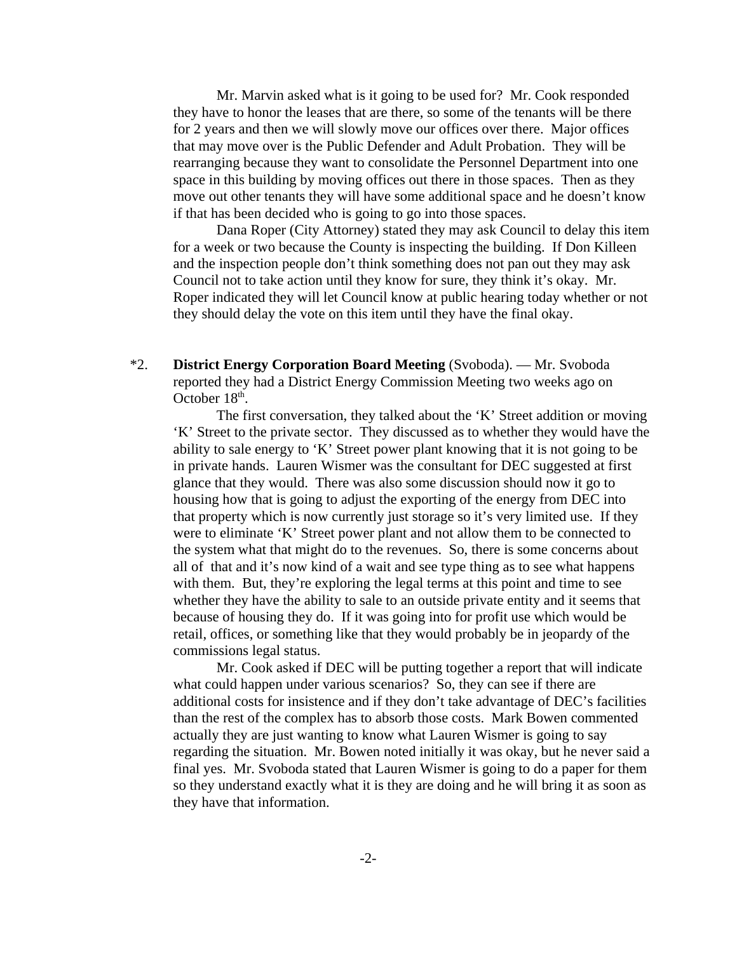Mr. Marvin asked what is it going to be used for? Mr. Cook responded they have to honor the leases that are there, so some of the tenants will be there for 2 years and then we will slowly move our offices over there. Major offices that may move over is the Public Defender and Adult Probation. They will be rearranging because they want to consolidate the Personnel Department into one space in this building by moving offices out there in those spaces. Then as they move out other tenants they will have some additional space and he doesn't know if that has been decided who is going to go into those spaces.

Dana Roper (City Attorney) stated they may ask Council to delay this item for a week or two because the County is inspecting the building. If Don Killeen and the inspection people don't think something does not pan out they may ask Council not to take action until they know for sure, they think it's okay. Mr. Roper indicated they will let Council know at public hearing today whether or not they should delay the vote on this item until they have the final okay.

\*2. **District Energy Corporation Board Meeting** (Svoboda). — Mr. Svoboda reported they had a District Energy Commission Meeting two weeks ago on October  $18<sup>th</sup>$ .

The first conversation, they talked about the 'K' Street addition or moving 'K' Street to the private sector. They discussed as to whether they would have the ability to sale energy to 'K' Street power plant knowing that it is not going to be in private hands. Lauren Wismer was the consultant for DEC suggested at first glance that they would. There was also some discussion should now it go to housing how that is going to adjust the exporting of the energy from DEC into that property which is now currently just storage so it's very limited use. If they were to eliminate 'K' Street power plant and not allow them to be connected to the system what that might do to the revenues. So, there is some concerns about all of that and it's now kind of a wait and see type thing as to see what happens with them. But, they're exploring the legal terms at this point and time to see whether they have the ability to sale to an outside private entity and it seems that because of housing they do. If it was going into for profit use which would be retail, offices, or something like that they would probably be in jeopardy of the commissions legal status.

Mr. Cook asked if DEC will be putting together a report that will indicate what could happen under various scenarios? So, they can see if there are additional costs for insistence and if they don't take advantage of DEC's facilities than the rest of the complex has to absorb those costs. Mark Bowen commented actually they are just wanting to know what Lauren Wismer is going to say regarding the situation. Mr. Bowen noted initially it was okay, but he never said a final yes. Mr. Svoboda stated that Lauren Wismer is going to do a paper for them so they understand exactly what it is they are doing and he will bring it as soon as they have that information.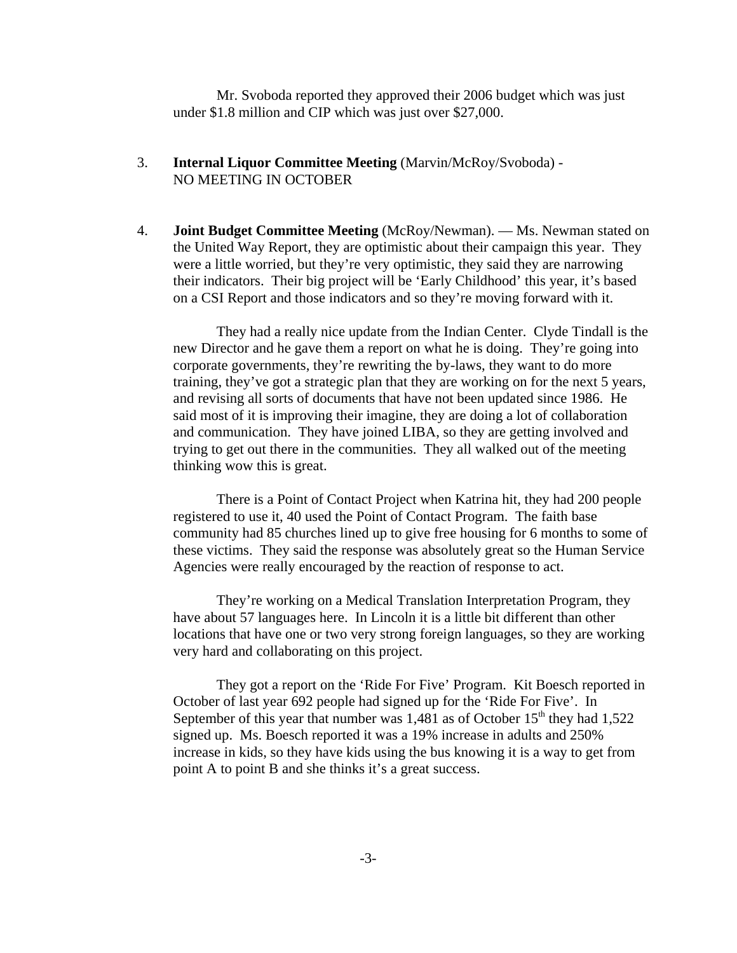Mr. Svoboda reported they approved their 2006 budget which was just under \$1.8 million and CIP which was just over \$27,000.

- 3. **Internal Liquor Committee Meeting** (Marvin/McRoy/Svoboda) NO MEETING IN OCTOBER
- 4. **Joint Budget Committee Meeting** (McRoy/Newman). Ms. Newman stated on the United Way Report, they are optimistic about their campaign this year. They were a little worried, but they're very optimistic, they said they are narrowing their indicators. Their big project will be 'Early Childhood' this year, it's based on a CSI Report and those indicators and so they're moving forward with it.

They had a really nice update from the Indian Center. Clyde Tindall is the new Director and he gave them a report on what he is doing. They're going into corporate governments, they're rewriting the by-laws, they want to do more training, they've got a strategic plan that they are working on for the next 5 years, and revising all sorts of documents that have not been updated since 1986. He said most of it is improving their imagine, they are doing a lot of collaboration and communication. They have joined LIBA, so they are getting involved and trying to get out there in the communities. They all walked out of the meeting thinking wow this is great.

There is a Point of Contact Project when Katrina hit, they had 200 people registered to use it, 40 used the Point of Contact Program. The faith base community had 85 churches lined up to give free housing for 6 months to some of these victims. They said the response was absolutely great so the Human Service Agencies were really encouraged by the reaction of response to act.

They're working on a Medical Translation Interpretation Program, they have about 57 languages here. In Lincoln it is a little bit different than other locations that have one or two very strong foreign languages, so they are working very hard and collaborating on this project.

They got a report on the 'Ride For Five' Program. Kit Boesch reported in October of last year 692 people had signed up for the 'Ride For Five'. In September of this year that number was  $1,481$  as of October  $15<sup>th</sup>$  they had  $1,522$ signed up. Ms. Boesch reported it was a 19% increase in adults and 250% increase in kids, so they have kids using the bus knowing it is a way to get from point A to point B and she thinks it's a great success.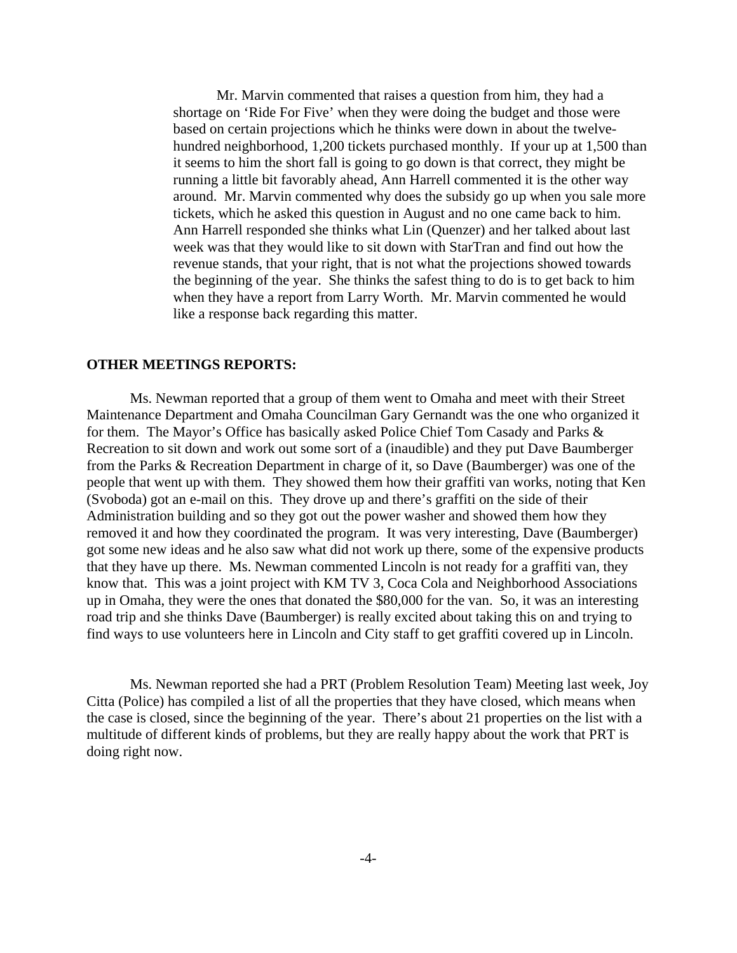Mr. Marvin commented that raises a question from him, they had a shortage on 'Ride For Five' when they were doing the budget and those were based on certain projections which he thinks were down in about the twelvehundred neighborhood, 1,200 tickets purchased monthly. If your up at 1,500 than it seems to him the short fall is going to go down is that correct, they might be running a little bit favorably ahead, Ann Harrell commented it is the other way around. Mr. Marvin commented why does the subsidy go up when you sale more tickets, which he asked this question in August and no one came back to him. Ann Harrell responded she thinks what Lin (Quenzer) and her talked about last week was that they would like to sit down with StarTran and find out how the revenue stands, that your right, that is not what the projections showed towards the beginning of the year. She thinks the safest thing to do is to get back to him when they have a report from Larry Worth. Mr. Marvin commented he would like a response back regarding this matter.

#### **OTHER MEETINGS REPORTS:**

Ms. Newman reported that a group of them went to Omaha and meet with their Street Maintenance Department and Omaha Councilman Gary Gernandt was the one who organized it for them. The Mayor's Office has basically asked Police Chief Tom Casady and Parks & Recreation to sit down and work out some sort of a (inaudible) and they put Dave Baumberger from the Parks & Recreation Department in charge of it, so Dave (Baumberger) was one of the people that went up with them. They showed them how their graffiti van works, noting that Ken (Svoboda) got an e-mail on this. They drove up and there's graffiti on the side of their Administration building and so they got out the power washer and showed them how they removed it and how they coordinated the program. It was very interesting, Dave (Baumberger) got some new ideas and he also saw what did not work up there, some of the expensive products that they have up there. Ms. Newman commented Lincoln is not ready for a graffiti van, they know that. This was a joint project with KM TV 3, Coca Cola and Neighborhood Associations up in Omaha, they were the ones that donated the \$80,000 for the van. So, it was an interesting road trip and she thinks Dave (Baumberger) is really excited about taking this on and trying to find ways to use volunteers here in Lincoln and City staff to get graffiti covered up in Lincoln.

Ms. Newman reported she had a PRT (Problem Resolution Team) Meeting last week, Joy Citta (Police) has compiled a list of all the properties that they have closed, which means when the case is closed, since the beginning of the year. There's about 21 properties on the list with a multitude of different kinds of problems, but they are really happy about the work that PRT is doing right now.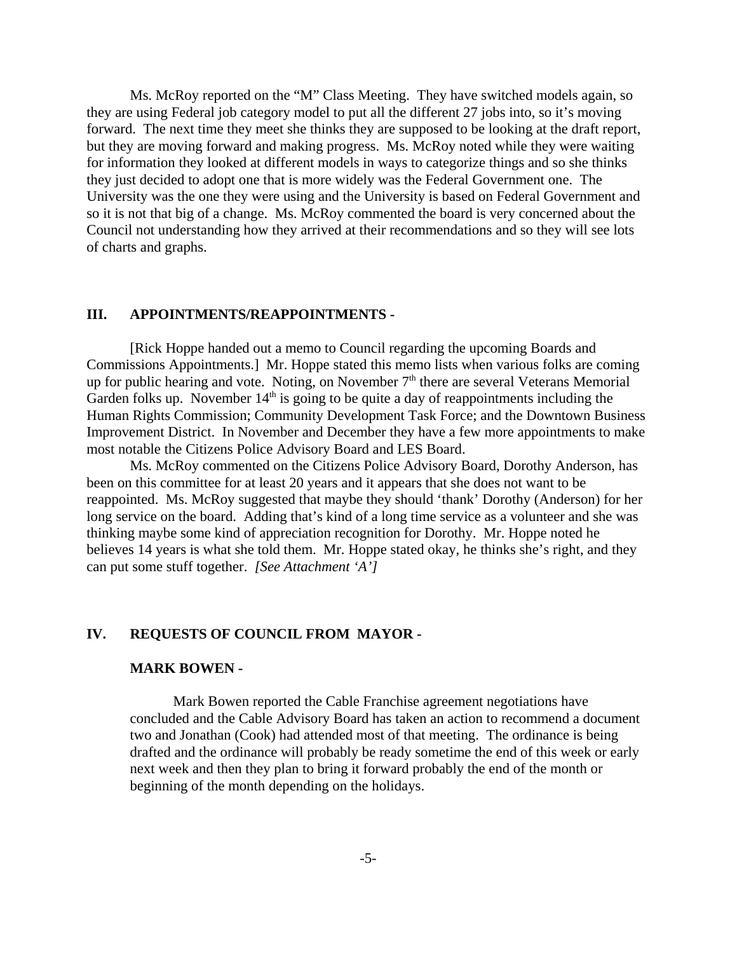Ms. McRoy reported on the "M" Class Meeting. They have switched models again, so they are using Federal job category model to put all the different 27 jobs into, so it's moving forward. The next time they meet she thinks they are supposed to be looking at the draft report, but they are moving forward and making progress. Ms. McRoy noted while they were waiting for information they looked at different models in ways to categorize things and so she thinks they just decided to adopt one that is more widely was the Federal Government one. The University was the one they were using and the University is based on Federal Government and so it is not that big of a change. Ms. McRoy commented the board is very concerned about the Council not understanding how they arrived at their recommendations and so they will see lots of charts and graphs.

#### **III. APPOINTMENTS/REAPPOINTMENTS -**

[Rick Hoppe handed out a memo to Council regarding the upcoming Boards and Commissions Appointments.] Mr. Hoppe stated this memo lists when various folks are coming up for public hearing and vote. Noting, on November 7<sup>th</sup> there are several Veterans Memorial Garden folks up. November  $14<sup>th</sup>$  is going to be quite a day of reappointments including the Human Rights Commission; Community Development Task Force; and the Downtown Business Improvement District. In November and December they have a few more appointments to make most notable the Citizens Police Advisory Board and LES Board.

Ms. McRoy commented on the Citizens Police Advisory Board, Dorothy Anderson, has been on this committee for at least 20 years and it appears that she does not want to be reappointed. Ms. McRoy suggested that maybe they should 'thank' Dorothy (Anderson) for her long service on the board. Adding that's kind of a long time service as a volunteer and she was thinking maybe some kind of appreciation recognition for Dorothy. Mr. Hoppe noted he believes 14 years is what she told them. Mr. Hoppe stated okay, he thinks she's right, and they can put some stuff together. *[See Attachment 'A']* 

#### **IV. REQUESTS OF COUNCIL FROM MAYOR -**

#### **MARK BOWEN -**

Mark Bowen reported the Cable Franchise agreement negotiations have concluded and the Cable Advisory Board has taken an action to recommend a document two and Jonathan (Cook) had attended most of that meeting. The ordinance is being drafted and the ordinance will probably be ready sometime the end of this week or early next week and then they plan to bring it forward probably the end of the month or beginning of the month depending on the holidays.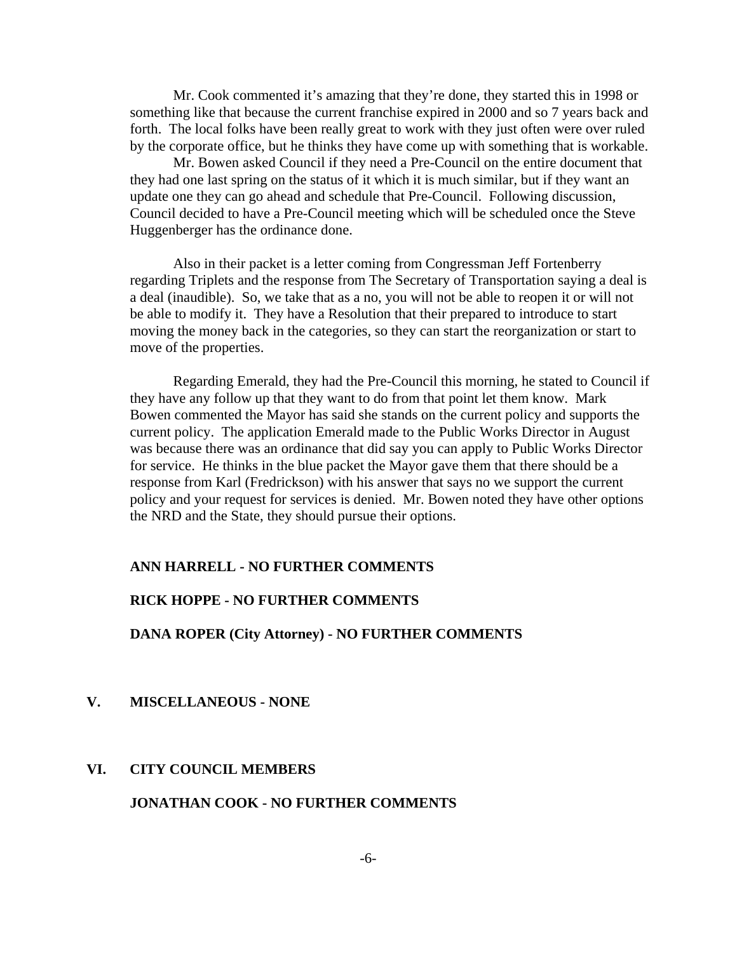Mr. Cook commented it's amazing that they're done, they started this in 1998 or something like that because the current franchise expired in 2000 and so 7 years back and forth. The local folks have been really great to work with they just often were over ruled by the corporate office, but he thinks they have come up with something that is workable.

Mr. Bowen asked Council if they need a Pre-Council on the entire document that they had one last spring on the status of it which it is much similar, but if they want an update one they can go ahead and schedule that Pre-Council. Following discussion, Council decided to have a Pre-Council meeting which will be scheduled once the Steve Huggenberger has the ordinance done.

Also in their packet is a letter coming from Congressman Jeff Fortenberry regarding Triplets and the response from The Secretary of Transportation saying a deal is a deal (inaudible). So, we take that as a no, you will not be able to reopen it or will not be able to modify it. They have a Resolution that their prepared to introduce to start moving the money back in the categories, so they can start the reorganization or start to move of the properties.

Regarding Emerald, they had the Pre-Council this morning, he stated to Council if they have any follow up that they want to do from that point let them know. Mark Bowen commented the Mayor has said she stands on the current policy and supports the current policy. The application Emerald made to the Public Works Director in August was because there was an ordinance that did say you can apply to Public Works Director for service. He thinks in the blue packet the Mayor gave them that there should be a response from Karl (Fredrickson) with his answer that says no we support the current policy and your request for services is denied. Mr. Bowen noted they have other options the NRD and the State, they should pursue their options.

#### **ANN HARRELL - NO FURTHER COMMENTS**

#### **RICK HOPPE - NO FURTHER COMMENTS**

**DANA ROPER (City Attorney) - NO FURTHER COMMENTS** 

**V. MISCELLANEOUS - NONE** 

#### **VI. CITY COUNCIL MEMBERS**

### **JONATHAN COOK - NO FURTHER COMMENTS**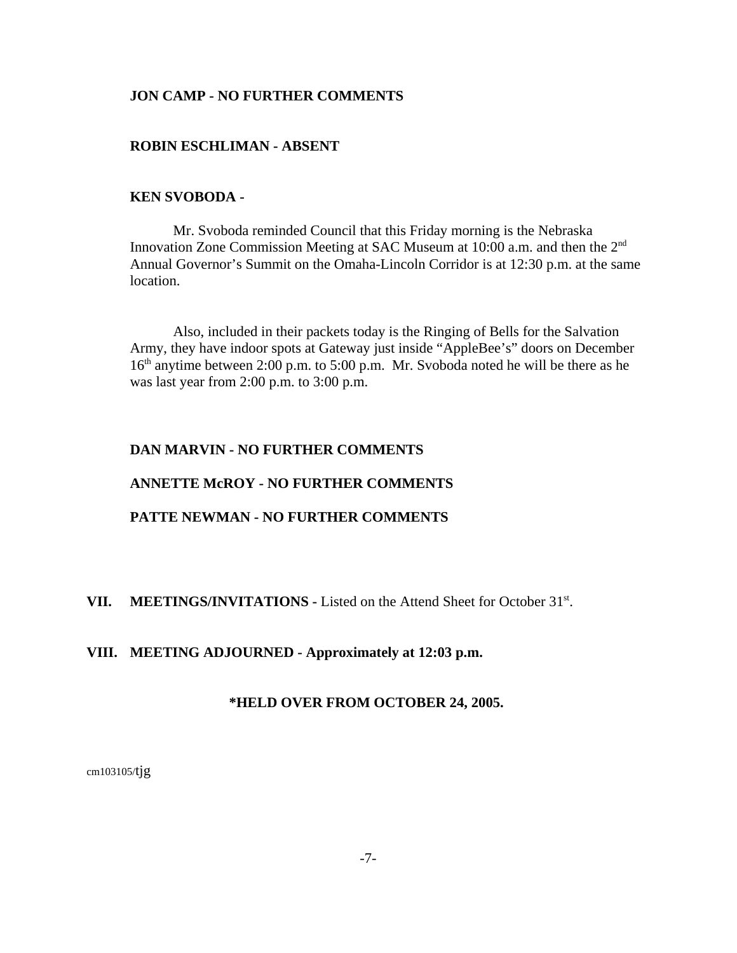## **JON CAMP - NO FURTHER COMMENTS**

#### **ROBIN ESCHLIMAN - ABSENT**

#### **KEN SVOBODA -**

Mr. Svoboda reminded Council that this Friday morning is the Nebraska Innovation Zone Commission Meeting at SAC Museum at 10:00 a.m. and then the 2<sup>nd</sup> Annual Governor's Summit on the Omaha-Lincoln Corridor is at 12:30 p.m. at the same location.

Also, included in their packets today is the Ringing of Bells for the Salvation Army, they have indoor spots at Gateway just inside "AppleBee's" doors on December  $16<sup>th</sup>$  anytime between 2:00 p.m. to 5:00 p.m. Mr. Svoboda noted he will be there as he was last year from 2:00 p.m. to 3:00 p.m.

# **DAN MARVIN - NO FURTHER COMMENTS**

## **ANNETTE McROY - NO FURTHER COMMENTS**

## **PATTE NEWMAN - NO FURTHER COMMENTS**

## VII. MEETINGS/INVITATIONS - Listed on the Attend Sheet for October 31<sup>st</sup>.

#### **VIII. MEETING ADJOURNED - Approximately at 12:03 p.m.**

#### **\*HELD OVER FROM OCTOBER 24, 2005.**

cm103105/tjg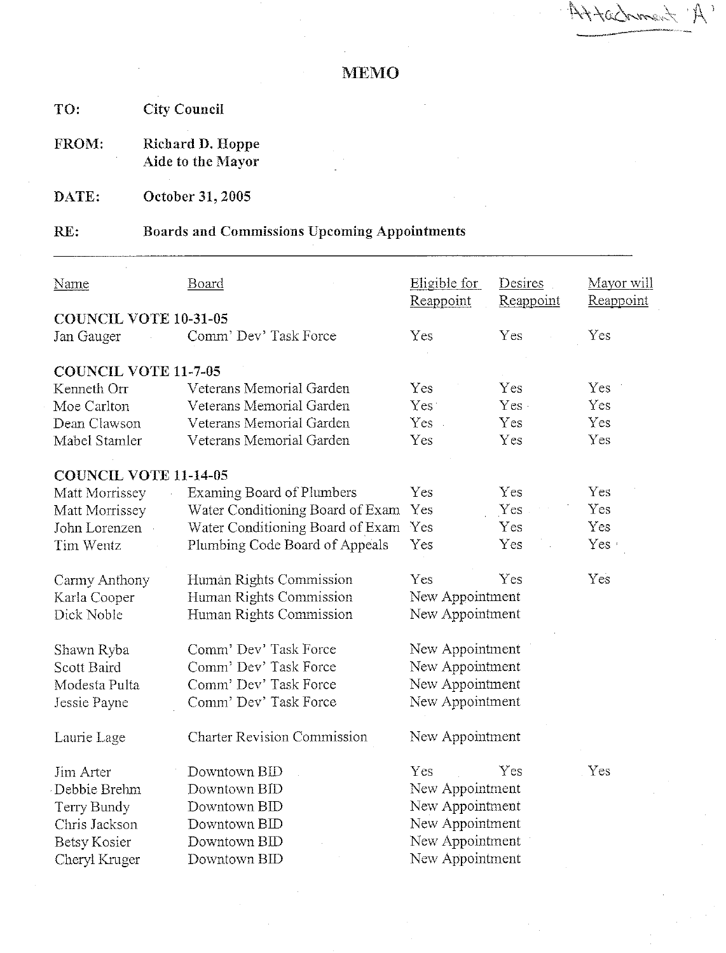Attachment A

**City Council** TO:

Richard D. Hoppe FROM: Aide to the Mayor

October 31, 2005 DATE:

#### **Boards and Commissions Upcoming Appointments** RE:

| Name                         | <b>Board</b>                       | Eligible for    | Desires   | Mayor will |
|------------------------------|------------------------------------|-----------------|-----------|------------|
| <b>COUNCIL VOTE 10-31-05</b> |                                    | Reappoint       | Reappoint | Reappoint  |
| Jan Gauger                   | Comm' Dev' Task Force              | Yes             | Yes       | Yes        |
|                              |                                    |                 |           |            |
| <b>COUNCIL VOTE 11-7-05</b>  |                                    |                 |           |            |
| Kenneth Orr                  | Veterans Memorial Garden           | Yes             | Yes       | Yes        |
| Moe Carlton                  | Veterans Memorial Garden           | Yes:            | Yes.      | Yes        |
| Dean Clawson                 | Veterans Memorial Garden           | Yes.            | Yes       | Yes        |
| Mabel Stamler                | Veterans Memorial Garden           | Yes             | Yes       | Yes        |
| <b>COUNCIL VOTE 11-14-05</b> |                                    |                 |           |            |
| Matt Morrissey               | <b>Examing Board of Plumbers</b>   | Yes             | Yes       | Yes        |
| Matt Morrissey               | Water Conditioning Board of Exam   | Yes             | Yes       | Yes        |
| John Lorenzen                | Water Conditioning Board of Exam   | Yes             | Yes       | Yes        |
| Tim Wentz                    | Plumbing Code Board of Appeals     | Yes             | Yes       | Yes ·      |
| Carmy Anthony                | Humán Rights Commission            | Yes             | Yes       | Yes        |
| Karla Cooper                 | Human Rights Commission            | New Appointment |           |            |
| Dick Noble                   | Human Rights Commission            | New Appointment |           |            |
| Shawn Ryba                   | Comm' Dev' Task Force              | New Appointment |           |            |
| Scott Baird                  | Comm' Dev' Task Force              | New Appointment |           |            |
| Modesta Pulta                | Comm' Dev' Task Force              | New Appointment |           |            |
| Jessie Payne                 | Comm' Dev' Task Force              | New Appointment |           |            |
| Laurie Lage                  | <b>Charter Revision Commission</b> | New Appointment |           |            |
| Jim Arter                    | Downtown BID                       | Yes             | Yes       | Yes        |
| Debbie Brehm                 | Downtown BID                       | New Appointment |           |            |
| Terry Bundy                  | Downtown BID                       | New Appointment |           |            |
| Chris Jackson                | Downtown BID                       | New Appointment |           |            |
| <b>Betsy Kosier</b>          | Downtown BID                       | New Appointment |           |            |
| Cheryl Kruger                | Downtown BID                       | New Appointment |           |            |
|                              |                                    |                 |           |            |